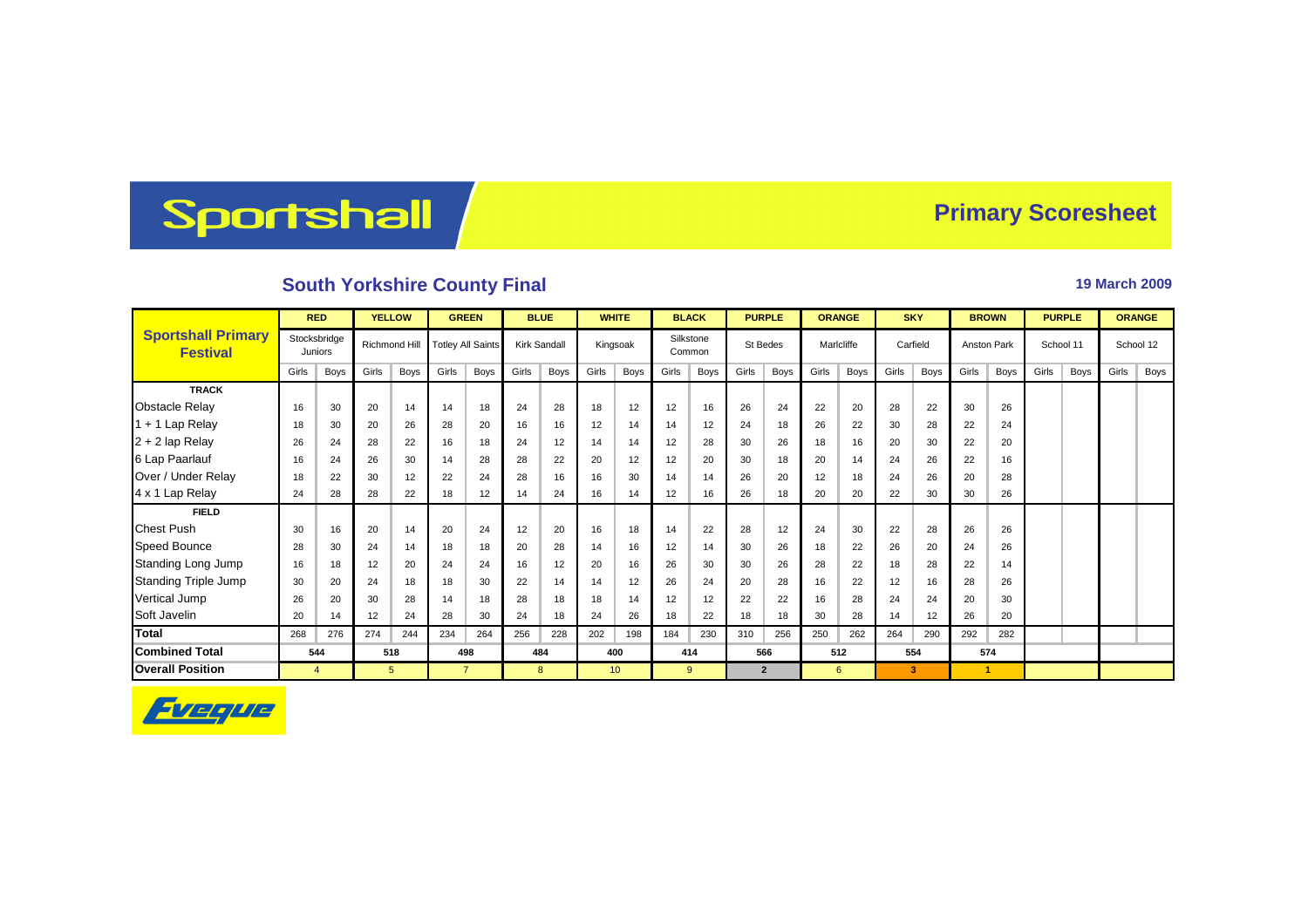## Sportshall

## **Primary Scoresheet**

## **South Yorkshire County Final 19 March 2009 19 March 2009**

|                                              | <b>RED</b>                     |      | <b>YELLOW</b> |      | <b>GREEN</b>             |                   | <b>BLUE</b>         |      | <b>WHITE</b> |                 | <b>BLACK</b>        |      | <b>PURPLE</b> |                | <b>ORANGE</b> |      | <b>SKY</b> |      | <b>BROWN</b>       |      | <b>PURPLE</b> |      | <b>ORANGE</b> |      |
|----------------------------------------------|--------------------------------|------|---------------|------|--------------------------|-------------------|---------------------|------|--------------|-----------------|---------------------|------|---------------|----------------|---------------|------|------------|------|--------------------|------|---------------|------|---------------|------|
| <b>Sportshall Primary</b><br><b>Festival</b> | Stocksbridge<br><b>Juniors</b> |      | Richmond Hill |      | <b>Totley All Saints</b> |                   | <b>Kirk Sandall</b> |      | Kingsoak     |                 | Silkstone<br>Common |      | St Bedes      |                | Maricliffe    |      | Carfield   |      | <b>Anston Park</b> |      | School 11     |      | School 12     |      |
|                                              | Girls                          | Boys | Girls         | Boys | Girls                    | Boys              | Girls               | Boys | Girls        | Boys            | Girls               | Boys | Girls         | Boys           | Girls         | Boys | Girls      | Boys | Girls              | Boys | Girls         | Boys | Girls         | Boys |
| <b>TRACK</b>                                 |                                |      |               |      |                          |                   |                     |      |              |                 |                     |      |               |                |               |      |            |      |                    |      |               |      |               |      |
| <b>Obstacle Relay</b>                        | 16                             | 30   | 20            | 14   | 14                       | 18                | 24                  | 28   | 18           | 12              | 12                  | 16   | 26            | 24             | 22            | 20   | 28         | 22   | 30                 | 26   |               |      |               |      |
| $1 + 1$ Lap Relay                            | 18                             | 30   | 20            | 26   | 28                       | 20                | 16                  | 16   | 12           | 14              | 14                  | 12   | 24            | 18             | 26            | 22   | 30         | 28   | 22                 | 24   |               |      |               |      |
| $2 + 2$ lap Relay                            | 26                             | 24   | 28            | 22   | 16                       | 18                | 24                  | 12   | 14           | 14              | 12                  | 28   | 30            | 26             | 18            | 16   | 20         | 30   | 22                 | 20   |               |      |               |      |
| 6 Lap Paarlauf                               | 16                             | 24   | 26            | 30   | 14                       | 28                | 28                  | 22   | 20           | 12              | 12                  | 20   | 30            | 18             | 20            | 14   | 24         | 26   | 22                 | 16   |               |      |               |      |
| Over / Under Relay                           | 18                             | 22   | 30            | 12   | 22                       | 24                | 28                  | 16   | 16           | 30              | 14                  | 14   | 26            | 20             | 12            | 18   | 24         | 26   | 20                 | 28   |               |      |               |      |
| 4 x 1 Lap Relay                              | 24                             | 28   | 28            | 22   | 18                       | $12 \overline{ }$ | 14                  | 24   | 16           | 14              | 12                  | 16   | 26            | 18             | 20            | 20   | 22         | 30   | 30                 | 26   |               |      |               |      |
| <b>FIELD</b>                                 |                                |      |               |      |                          |                   |                     |      |              |                 |                     |      |               |                |               |      |            |      |                    |      |               |      |               |      |
| <b>Chest Push</b>                            | 30                             | 16   | 20            | 14   | 20                       | 24                | 12                  | 20   | 16           | 18              | 14                  | 22   | 28            | 12             | 24            | 30   | 22         | 28   | 26                 | 26   |               |      |               |      |
| <b>Speed Bounce</b>                          | 28                             | 30   | 24            | 14   | 18                       | 18                | 20                  | 28   | 14           | 16              | 12                  | 14   | 30            | 26             | 18            | 22   | 26         | 20   | 24                 | 26   |               |      |               |      |
| Standing Long Jump                           | 16                             | 18   | 12            | 20   | 24                       | 24                | 16                  | 12   | 20           | 16              | 26                  | 30   | 30            | 26             | 28            | 22   | 18         | 28   | 22                 | 14   |               |      |               |      |
| <b>Standing Triple Jump</b>                  | 30                             | 20   | 24            | 18   | 18                       | 30                | 22                  | 14   | 14           | 12              | 26                  | 24   | 20            | 28             | 16            | 22   | 12         | 16   | 28                 | 26   |               |      |               |      |
| Vertical Jump                                | 26                             | 20   | 30            | 28   | 14                       | 18                | 28                  | 18   | 18           | 14              | 12                  | 12   | 22            | 22             | 16            | 28   | 24         | 24   | 20                 | 30   |               |      |               |      |
| Soft Javelin                                 | 20                             | 14   | 12            | 24   | 28                       | 30                | 24                  | 18   | 24           | 26              | 18                  | 22   | 18            | 18             | 30            | 28   | 14         | 12   | 26                 | 20   |               |      |               |      |
| <b>Total</b>                                 | 268                            | 276  | 274           | 244  | 234                      | 264               | 256                 | 228  | 202          | 198             | 184                 | 230  | 310           | 256            | 250           | 262  | 264        | 290  | 292                | 282  |               |      |               |      |
| <b>Combined Total</b>                        |                                | 544  |               | 518  |                          | 498               |                     | 484  |              | 400             |                     | 414  |               | 566            |               | 512  |            | 554  |                    | 574  |               |      |               |      |
| <b>Overall Position</b>                      | $\overline{4}$                 |      | $5^{\circ}$   |      | $\overline{7}$           |                   |                     | 8    |              | 10 <sup>°</sup> |                     | 9    |               | $\overline{2}$ |               | 6    |            | 3    |                    | 1    |               |      |               |      |

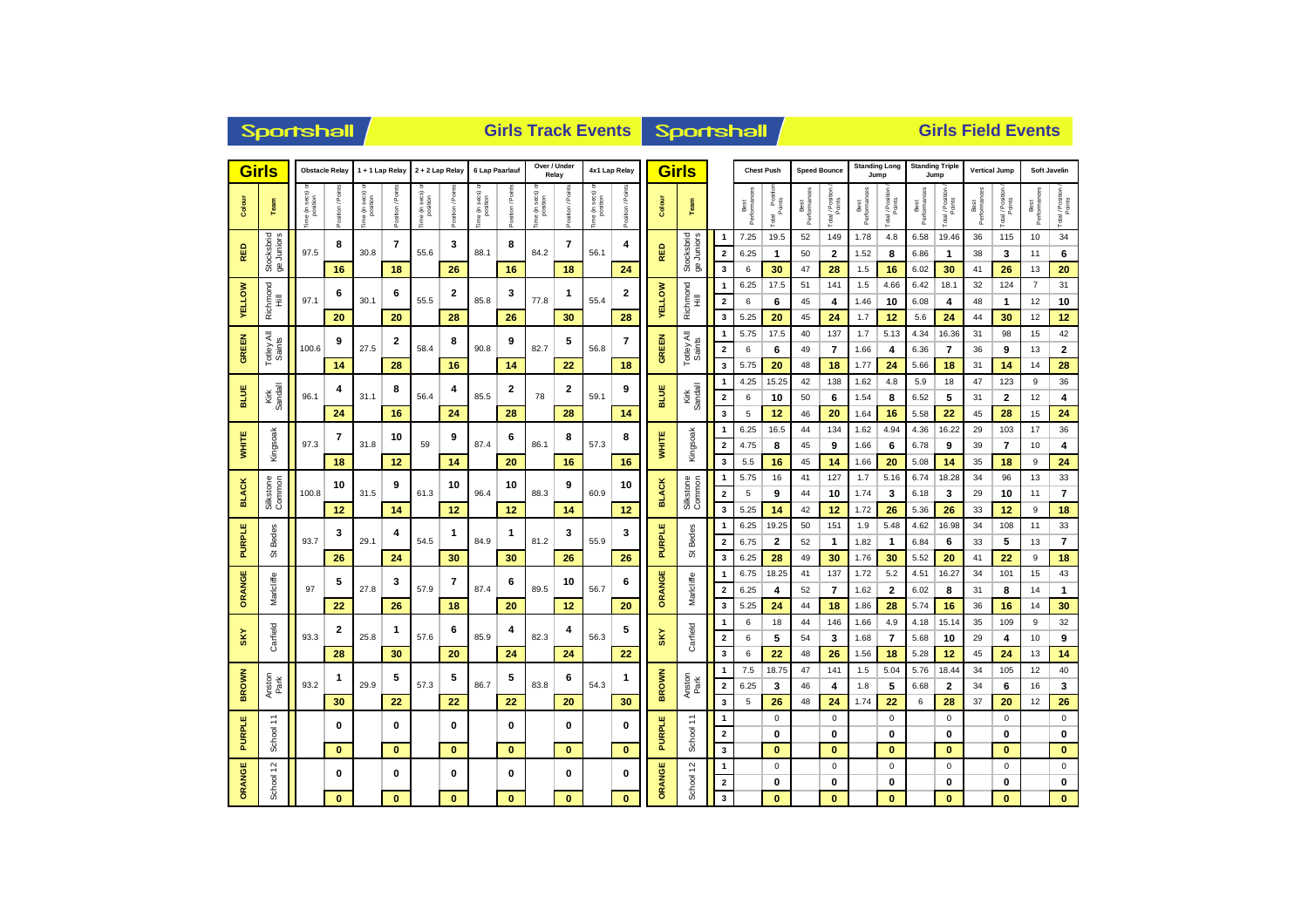|                | <b>Sportshall</b>                     |                           |                  |                          |                          |                                  |                |                          |                  |                                   |                | <b>Girls Track Events</b>   |                   | <b>Sportshall</b>           |                              |                                                    |                      |                          | <b>Girls Field Events</b>      |                         |                              |                             |                                  |                            |                      |                             |                         |                               |  |
|----------------|---------------------------------------|---------------------------|------------------|--------------------------|--------------------------|----------------------------------|----------------|--------------------------|------------------|-----------------------------------|----------------|-----------------------------|-------------------|-----------------------------|------------------------------|----------------------------------------------------|----------------------|--------------------------|--------------------------------|-------------------------|------------------------------|-----------------------------|----------------------------------|----------------------------|----------------------|-----------------------------|-------------------------|-------------------------------|--|
|                | <b>Girls</b><br><b>Obstacle Relay</b> |                           |                  | 1 + 1 Lap Relay          |                          | 2 + 2 Lap Relay                  |                | 6 Lap Paarlauf           |                  | Over / Under<br>Relay             |                | 4x1 Lap Relay               |                   | <b>Girls</b>                |                              | <b>Chest Push</b>                                  |                      |                          | <b>Speed Bounce</b>            |                         | <b>Standing Long</b><br>Jump |                             | <b>Standing Triple</b><br>Jump   |                            | <b>Vertical Jump</b> |                             | <b>Soft Javelin</b>     |                               |  |
| Colour         | Team                                  | e (in secs) c<br>position | ă<br>$t$ ion / F | he (in secs)<br>position | osition / Points         | sec s)<br>nows ai) e<br>Position | ition / Points | ne (in secs)<br>position | Position / Point | sec s)<br>he (in secs<br>position | osition / Poir | ime (in secs) o<br>position | Position / Points | Colour                      | Team                         |                                                    | Best<br>Performances | Total Position           | Best<br>Performano             | Total / Position        | Best<br>Performances         | Total / Position            | Best<br>Performances             | Total / Position           | Best<br>Performances | Total / Position<br>Points  | Best<br>Performan       | Total / Position              |  |
| RED            | Stocksbrid<br>ge Juniors              | 97.5                      | 8                | 30.8                     | 7                        | 55.6                             | 3              | 88.1                     | 8                | 84.2                              | 7              | 56.1                        | 4                 | RED                         | Stocksbrid<br>Juniors        | $\overline{1}$<br>$\overline{2}$                   | 7.25<br>6.25         | 19.5<br>$\mathbf{1}$     | 52<br>50                       | 149<br>$\mathbf{2}$     | 1.78<br>1.52                 | 4.8<br>8                    | 6.58<br>6.86                     | 19.46<br>$\mathbf{1}$      | 36<br>38             | 115<br>3                    | 10<br>11                | 34<br>6                       |  |
|                |                                       |                           | 16<br>6          |                          | 18<br>6                  |                                  | 26<br>2        |                          | 16<br>3          |                                   | 18<br>1        |                             | 24<br>2           |                             | த                            | 3<br>$\mathbf{1}$                                  | 6<br>6.25            | 30<br>17.5               | 47<br>51                       | 28<br>141               | 1.5<br>1.5                   | 16<br>4.66                  | 6.02<br>6.42                     | 30<br>18.1                 | 41<br>32             | 26<br>124                   | 13<br>$\overline{7}$    | 20<br>31                      |  |
| <b>VELLOW</b>  | Richmond<br>Ē                         | 97.1                      | 20               | 30.1                     | 20                       | 55.5                             | 28             | 85.8                     | 26               | 77.8                              | 30             | 55.4                        | 28                | <b>YELLOW</b>               | Richmond<br>Hill             | $\overline{2}$<br>3                                | 6<br>5.25            | 6<br>20                  | 45<br>45                       | 4<br>24                 | 1.46<br>1.7                  | 10<br>12                    | 6.08<br>5.6                      | 4<br>24                    | 48<br>44             | 1<br>30                     | 12<br>12                | 10<br>12                      |  |
| <b>GREEN</b>   | Totley All<br>Saints                  | 100.6                     | 9                | 27.5                     | 2                        | 58.4                             | 8<br>90.8      | 9                        | 82.7             | 5                                 | 56.8           | 7                           | <b>GREEN</b>      | ₹<br>Totley Al              | 1<br>$\overline{\mathbf{2}}$ | 5.75<br>6                                          | 17.5<br>6            | 40<br>49                 | 137<br>$\overline{\mathbf{r}}$ | 1.7<br>1.66             | 5.13<br>4                    | 4.34<br>6.36                | 16.36<br>$\overline{\mathbf{r}}$ | 31<br>36                   | 98<br>9              | 15<br>13                    | 42<br>$\bf{2}$          |                               |  |
|                |                                       |                           | 14               |                          | 28                       |                                  | 16             |                          | 14               |                                   | 22             |                             | 18                |                             |                              | $\overline{\mathbf{3}}$<br>$\mathbf{1}$            | 5.75<br>4.25         | 20<br>15.25              | 48<br>42                       | 18<br>138               | 1.77<br>1.62                 | 24<br>4.8                   | 5.66<br>5.9                      | 18<br>18                   | 31<br>47             | 14<br>123                   | 14<br>9                 | 28<br>36                      |  |
| <b>BLUE</b>    | Kirk<br>Sandall                       | 96.1                      | 4<br>24          | 31.1                     | 8<br>16                  | 56.4                             | 4<br>24        | 85.5                     | 2<br>28          | 78                                | 2<br>28        | 59.1                        | 9<br>14           | BLUE                        | Kirk<br>Sandall              | $\overline{\mathbf{2}}$<br>3                       | 6<br>5               | 10<br>12                 | 50<br>46                       | 6<br>20                 | 1.54<br>1.64                 | 8<br>16                     | 6.52<br>5.58                     | 5<br>22                    | 31<br>45             | $\mathbf{2}$<br>28          | 12<br>15                | 4<br>24                       |  |
|                | Kingsoak                              | 97.3                      | 7                | 31.8                     | 10                       |                                  | 9<br>59        | 87.4                     | 6                | 86.1                              | 8              | 57.3                        | 8                 | <b>WHITE</b>                | Kingsoak                     | $\mathbf{1}$<br>$\overline{\mathbf{2}}$            | 6.25<br>4.75         | 16.5<br>8                | 44<br>45                       | 134<br>9                | 1.62<br>1.66                 | 4.94<br>6                   | 4.36<br>6.78                     | 16.22<br>9                 | 29<br>39             | 103<br>$\overline{7}$       | 17<br>10                | 36<br>4                       |  |
| WHIT           |                                       |                           | 18               |                          | 12                       |                                  | 14             |                          | 20               |                                   | 16             |                             | 16                |                             |                              | 3                                                  | 5.5                  | 16                       | 45                             | 14                      | 1.66                         | 20                          | 5.08                             | 14                         | 35                   | 18                          | 9                       | 24                            |  |
| <b>BLACK</b>   | Silkstone<br>Common                   | 100.8                     | 10               | 31.5                     | 9                        | 61.3                             | 10             | 96.4                     | 10               | 88.3                              | 9              | 60.9                        | 10                | <b>BLACK</b>                | Silkstone<br>Common          | $\mathbf{1}$<br>$\overline{2}$                     | 5.75<br>5            | 16<br>9                  | 41<br>44                       | 127<br>10               | 1.7<br>1.74                  | 5.16<br>3                   | 6.74<br>6.18                     | 18.28<br>3                 | 34<br>29             | 96<br>10                    | 13<br>11                | 33<br>$\overline{\mathbf{7}}$ |  |
|                |                                       |                           | 12               |                          | 14                       |                                  | 12             |                          | 12               |                                   | 14             |                             | 12                |                             |                              | 3<br>$\overline{1}$                                | 5.25<br>6.25         | 14<br>19.25              | 42<br>50                       | 12<br>151               | 1.72<br>1.9                  | 26<br>5.48                  | 5.36<br>4.62                     | 26<br>16.98                | 33<br>34             | 12<br>108                   | 9<br>11                 | 18<br>33                      |  |
| <b>PURPLE</b>  | St Bedes                              | 93.7                      | 3                | 29.1                     | 4                        | 54.5                             | 1<br>84.9      | 1                        | 81.2             | 3                                 | 55.9           | 3                           | <b>PURPLE</b>     | St Bedes                    | $\overline{\mathbf{2}}$      | 6.75                                               | $\overline{2}$       | 52                       | $\mathbf{1}$                   | 1.82                    | $\mathbf{1}$                 | 6.84                        | 6                                | 33                         | 5                    | 13                          | $\overline{\mathbf{r}}$ |                               |  |
|                |                                       |                           | 26<br>5          |                          | 24<br>3                  |                                  | 30<br>7        |                          | 30<br>6          |                                   | 26<br>10       |                             | 26<br>6           |                             |                              | 3<br>$\mathbf{1}$                                  | 6.25<br>6.75         | 28<br>18.25              | 49<br>41                       | 30<br>137               | 1.76<br>1.72                 | 30<br>5.2                   | 5.52<br>4.51                     | 20<br>16.27                | 41<br>34             | 22<br>101                   | 9<br>15                 | 18<br>43                      |  |
| ORANGE         | Maricliffe                            | 97                        | 22               | 27.8                     | 26                       | 57.9                             | 18             | 87.4                     | 20               | 89.5                              | 12             | 56.7                        | 20                | ORANGE                      | Marlcliffe                   | $\overline{\mathbf{2}}$<br>$\overline{\mathbf{3}}$ | 6.25<br>5.25         | 4<br>24                  | 52<br>44                       | $\overline{7}$<br>18    | 1.62<br>1.86                 | $\overline{2}$<br>28        | 6.02<br>5.74                     | 8<br>16                    | 31<br>36             | 8<br>16                     | 14<br>14                | $\mathbf{1}$<br>30            |  |
| S <sub>K</sub> | Carfield                              | 93.3                      | 2                | 25.8                     | 1                        | 57.6                             | 6              | 85.9                     | 4                | 82.3                              | 4              | 56.3                        | 5                 | SKY                         | Carfield                     | $\mathbf{1}$<br>$\overline{\mathbf{2}}$            | 6<br>6               | 18<br>5                  | 44<br>54                       | 146<br>3                | 1.66<br>1.68                 | 4.9<br>$\overline{7}$       | 4.18<br>5.68                     | 15.14<br>10                | 35<br>29             | 109<br>4                    | 9<br>10                 | 32<br>9                       |  |
|                |                                       |                           | 28               |                          | 30                       |                                  | 20             |                          | 24               |                                   | 24             |                             | 22                |                             |                              | $\overline{\mathbf{3}}$                            | 6                    | 22                       | 48                             | 26                      | 1.56                         | 18                          | 5.28                             | 12                         | 45                   | 24                          | 13                      | 14                            |  |
| <b>BROWN</b>   | Anston<br>Park                        | 93.2                      | 1                | 29.9                     | 5                        | 57.3                             | 5              | 86.7                     | 5                | 83.8                              | 6              | 54.3                        | 1                 | <b>BROWN</b>                | Anston<br>Park               | $\mathbf{1}$<br>$\overline{2}$                     | 7.5<br>6.25          | 18.75<br>3               | 47<br>46                       | 141<br>4                | 1.5<br>1.8                   | 5.04<br>5                   | 5.76<br>6.68                     | 18.44<br>$\mathbf{2}$      | 34<br>34             | 105<br>6                    | 12<br>16                | 40<br>3                       |  |
| щ              | ż                                     |                           | 30<br>0          |                          | 22<br>$\mathbf 0$        |                                  | 22<br>0        |                          | 22<br>0          |                                   | 20<br>0        |                             | 30<br>0           |                             | ÷.                           | 3<br>$\mathbf{1}$                                  | 5                    | 26<br>$\mathsf 0$        | 48                             | 24<br>$\mathsf 0$       | 1.74                         | 22<br>$\pmb{0}$             | 6                                | 28<br>$\mathbf 0$          | 37                   | 20<br>$\mathsf 0$           | 12                      | 26<br>$\mathsf 0$             |  |
| PURPLI         | School                                |                           | $\bf{0}$         |                          | $\bf{0}$<br>$\mathbf{0}$ |                                  | $\bf{0}$       |                          | $\mathbf{0}$     |                                   | $\mathbf{0}$   | <b>PURPLE</b>               | School -          | $\mathbf 2$<br>$\mathbf{3}$ |                              | $\mathbf 0$<br>$\bf{0}$                            |                      | $\bf{0}$<br>$\mathbf{0}$ |                                | 0<br>$\bf{0}$           |                              | $\mathbf 0$<br>$\mathbf{0}$ |                                  | $\bf{0}$<br>$\bf{0}$       |                      | $\mathbf 0$<br>$\mathbf{0}$ |                         |                               |  |
| ORANGE         | School 12                             |                           | 0                |                          | 0                        |                                  | 0              |                          | $\mathbf 0$      |                                   | 0              |                             | 0                 | ORANGE                      | 5                            | 1<br>$\overline{2}$                                |                      | $\mathbf 0$<br>$\bf{0}$  |                                | $\mathbf 0$<br>$\bf{0}$ |                              | $\mathbf 0$<br>0            |                                  | $\mathbf 0$<br>$\mathbf 0$ |                      | $\mathbf 0$<br>$\bf{0}$     |                         | $\mathbf 0$<br>$\mathbf 0$    |  |
|                |                                       |                           | $\bf{0}$         |                          | $\bf{0}$                 |                                  | $\bf{0}$       |                          | $\bf{0}$         |                                   | $\bf{0}$       |                             | $\mathbf{0}$      |                             | School -                     | $\mathbf{3}$                                       |                      | $\mathbf{0}$             |                                | $\bf{0}$                |                              | $\bf{0}$                    |                                  | $\mathbf{0}$               |                      | $\bf{0}$                    |                         | $\mathbf{0}$                  |  |